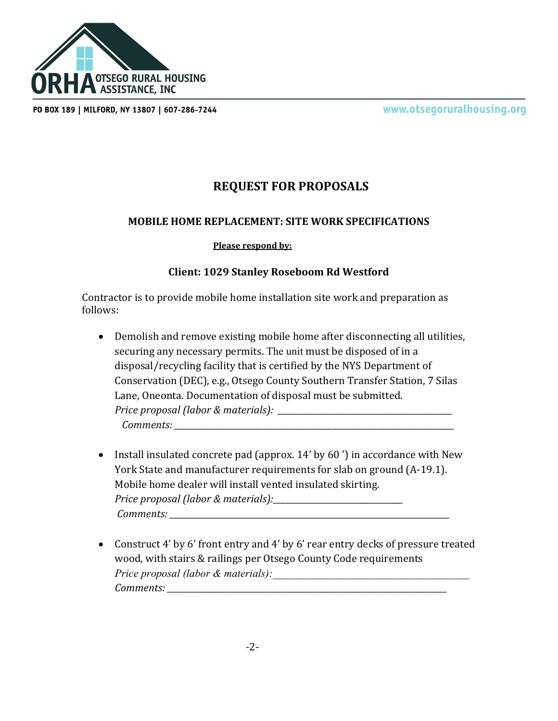

PO BOX 189 | MILFORD, NY 13807 | 607-286-7244

www.otsegoruralhousing.org

## **REQUEST FOR PROPOSALS**

## **MOBILE HOME REPLACEMENT: SITE WORK SPECIFICATIONS**

## **Please respond by:**

## **Client: 1029 Stanley Roseboom Rd Westford**

Contractor is to provide mobile home installation site work and preparation as follows:

- Demolish and remove existing mobile home after disconnecting all utilities, securing any necessary permits. The unit must be disposed of in a disposal/recycling facility that is certified by the NYS Department of Conservation (DEC), e.g., Otsego County Southern Transfer Station, 7 Silas Lane, Oneonta. Documentation of disposal must be submitted. *Price proposal (labor & materials): \_\_\_\_\_\_\_\_\_\_\_\_\_\_\_\_\_\_\_\_\_\_\_\_\_\_\_\_\_\_\_\_\_\_\_\_\_\_\_\_\_\_\_ Comments: \_\_\_\_\_\_\_\_\_\_\_\_\_\_\_\_\_\_\_\_\_\_\_\_\_\_\_\_\_\_\_\_\_\_\_\_\_\_\_\_\_\_\_\_\_\_\_\_\_\_\_\_\_\_\_\_\_\_\_\_\_\_\_\_\_\_\_\_\_*
- Install insulated concrete pad (approx. 14' by 60') in accordance with New York State and manufacturer requirements for slab on ground (A-19.1). Mobile home dealer will install vented insulated skirting. *Price proposal (labor & materials):\_\_\_\_\_\_\_\_\_\_\_\_\_\_\_\_\_\_\_\_\_\_\_\_\_\_\_\_\_\_\_\_ Comments: \_\_\_\_\_\_\_\_\_\_\_\_\_\_\_\_\_\_\_\_\_\_\_\_\_\_\_\_\_\_\_\_\_\_\_\_\_\_\_\_\_\_\_\_\_\_\_\_\_\_\_\_\_\_\_\_\_\_\_\_\_\_\_\_\_\_\_\_\_*
- Construct 4' by 6' front entry and 4' by 6' rear entry decks of pressure treated wood, with stairs & railings per Otsego County Code requirements *Price proposal (labor & materials): Comments: \_\_\_\_\_\_\_\_\_\_\_\_\_\_\_\_\_\_\_\_\_\_\_\_\_\_\_\_\_\_\_\_\_\_\_\_\_\_\_\_\_\_\_\_\_\_\_\_\_\_\_\_\_\_\_\_\_\_\_\_\_\_\_\_\_\_\_\_\_*